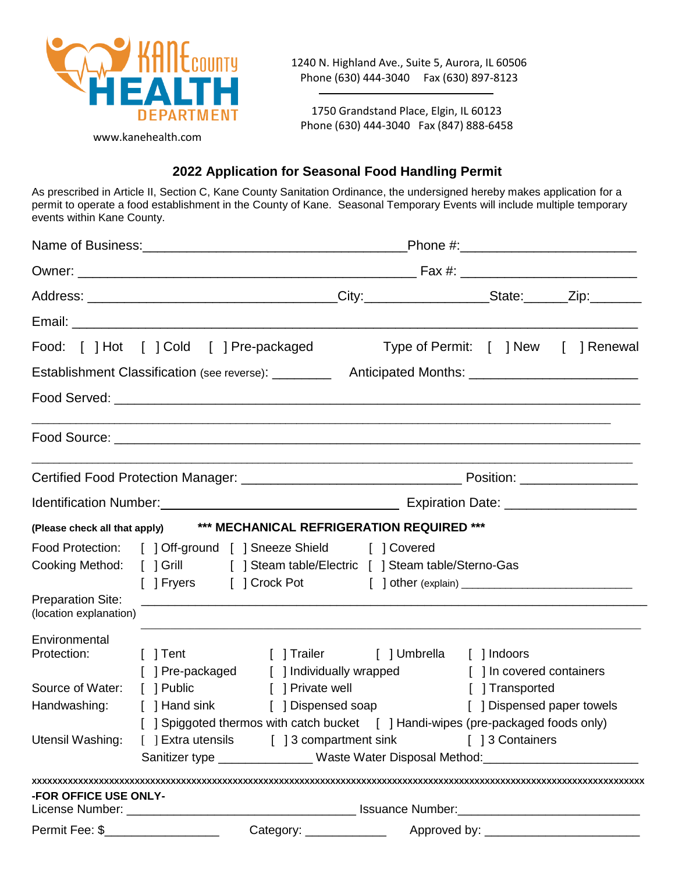

1240 N. Highland Ave., Suite 5, Aurora, IL 60506 Phone (630) 444-3040 Fax (630) 897-8123

1750 Grandstand Place, Elgin, IL 60123 Phone (630) 444-3040 Fax (847) 888-6458

# **2022 Application for Seasonal Food Handling Permit**

As prescribed in Article II, Section C, Kane County Sanitation Ordinance, the undersigned hereby makes application for a permit to operate a food establishment in the County of Kane. Seasonal Temporary Events will include multiple temporary events within Kane County.

| Food: [ ] Hot [ ] Cold [ ] Pre-packaged                                                                                                                                                              |            |                  | Type of Permit: [ ] New [ ] Renewal                                                                                  |                                                                                                                                                                                           |  |  |
|------------------------------------------------------------------------------------------------------------------------------------------------------------------------------------------------------|------------|------------------|----------------------------------------------------------------------------------------------------------------------|-------------------------------------------------------------------------------------------------------------------------------------------------------------------------------------------|--|--|
| Establishment Classification (see reverse): ____________ Anticipated Months: _______________________                                                                                                 |            |                  |                                                                                                                      |                                                                                                                                                                                           |  |  |
|                                                                                                                                                                                                      |            |                  |                                                                                                                      |                                                                                                                                                                                           |  |  |
|                                                                                                                                                                                                      |            |                  |                                                                                                                      |                                                                                                                                                                                           |  |  |
|                                                                                                                                                                                                      |            |                  |                                                                                                                      |                                                                                                                                                                                           |  |  |
|                                                                                                                                                                                                      |            |                  |                                                                                                                      |                                                                                                                                                                                           |  |  |
| (Please check all that apply) *** MECHANICAL REFRIGERATION REQUIRED ***                                                                                                                              |            |                  |                                                                                                                      |                                                                                                                                                                                           |  |  |
| Food Protection: [ ] Off-ground [ ] Sneeze Shield [ ] Covered<br>Cooking Method: [ ] Grill [ ] Steam table/Electric [ ] Steam table/Sterno-Gas<br><b>Preparation Site:</b><br>(location explanation) |            |                  |                                                                                                                      |                                                                                                                                                                                           |  |  |
|                                                                                                                                                                                                      |            |                  |                                                                                                                      |                                                                                                                                                                                           |  |  |
| Environmental<br>Protection:                                                                                                                                                                         |            |                  | [ ] Tent [ ] Trailer [ ] Umbrella [ ] Indoors<br>[ ] Pre-packaged [ ] Individually wrapped [ ] In covered containers |                                                                                                                                                                                           |  |  |
| Source of Water:                                                                                                                                                                                     | [ ] Public | [ ] Private well |                                                                                                                      | [ ] Transported                                                                                                                                                                           |  |  |
| Handwashing: [ ] Hand sink [ ] Dispensed soap                                                                                                                                                        |            |                  |                                                                                                                      | [ ] Dispensed paper towels                                                                                                                                                                |  |  |
| Utensil Washing: [ ] Extra utensils [ ] 3 compartment sink                                                                                                                                           |            |                  |                                                                                                                      | [ ] Spiggoted thermos with catch bucket [ ] Handi-wipes (pre-packaged foods only)<br>[ ] 3 Containers<br>Sanitizer type ________________Waste Water Disposal Method:_____________________ |  |  |
| <b>-FOR OFFICE USE ONLY-</b>                                                                                                                                                                         |            |                  |                                                                                                                      |                                                                                                                                                                                           |  |  |
| Permit Fee: \$______________________                                                                                                                                                                 |            |                  |                                                                                                                      |                                                                                                                                                                                           |  |  |